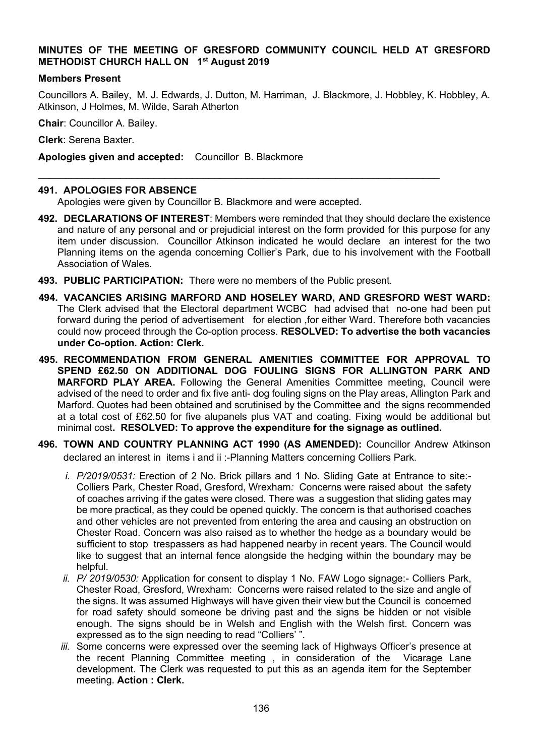## **MINUTES OF THE MEETING OF GRESFORD COMMUNITY COUNCIL HELD AT GRESFORD METHODIST CHURCH HALL ON 1 st August 2019**

#### **Members Present**

Councillors A. Bailey, M. J. Edwards, J. Dutton, M. Harriman, J. Blackmore, J. Hobbley, K. Hobbley, A. Atkinson, J Holmes, M. Wilde, Sarah Atherton

**Chair**: Councillor A. Bailey.

**Clerk**: Serena Baxter.

**Apologies given and accepted:** Councillor B. Blackmore

### **491. APOLOGIES FOR ABSENCE**

Apologies were given by Councillor B. Blackmore and were accepted.

 $\mathcal{L}_\text{max}$  and  $\mathcal{L}_\text{max}$  and  $\mathcal{L}_\text{max}$  and  $\mathcal{L}_\text{max}$  and  $\mathcal{L}_\text{max}$  and  $\mathcal{L}_\text{max}$ 

- **492. DECLARATIONS OF INTEREST**: Members were reminded that they should declare the existence and nature of any personal and or prejudicial interest on the form provided for this purpose for any item under discussion. Councillor Atkinson indicated he would declare an interest for the two Planning items on the agenda concerning Collier's Park, due to his involvement with the Football Association of Wales.
- **493. PUBLIC PARTICIPATION:** There were no members of the Public present.
- **494. VACANCIES ARISING MARFORD AND HOSELEY WARD, AND GRESFORD WEST WARD:**  The Clerk advised that the Electoral department WCBC had advised that no-one had been put forward during the period of advertisement for election ,for either Ward. Therefore both vacancies could now proceed through the Co-option process. **RESOLVED: To advertise the both vacancies under Co-option. Action: Clerk.**
- **495. RECOMMENDATION FROM GENERAL AMENITIES COMMITTEE FOR APPROVAL TO SPEND £62.50 ON ADDITIONAL DOG FOULING SIGNS FOR ALLINGTON PARK AND MARFORD PLAY AREA.** Following the General Amenities Committee meeting, Council were advised of the need to order and fix five anti- dog fouling signs on the Play areas, Allington Park and Marford. Quotes had been obtained and scrutinised by the Committee and the signs recommended at a total cost of £62.50 for five alupanels plus VAT and coating. Fixing would be additional but minimal cost**. RESOLVED: To approve the expenditure for the signage as outlined.**
- **496. TOWN AND COUNTRY PLANNING ACT 1990 (AS AMENDED):** Councillor Andrew Atkinson declared an interest in items i and ii :-Planning Matters concerning Colliers Park.
	- *i. P/2019/0531:* Erection of 2 No. Brick pillars and 1 No. Sliding Gate at Entrance to site:- Colliers Park, Chester Road, Gresford, Wrexham*:* Concerns were raised about the safety of coaches arriving if the gates were closed. There was a suggestion that sliding gates may be more practical, as they could be opened quickly. The concern is that authorised coaches and other vehicles are not prevented from entering the area and causing an obstruction on Chester Road. Concern was also raised as to whether the hedge as a boundary would be sufficient to stop trespassers as had happened nearby in recent years. The Council would like to suggest that an internal fence alongside the hedging within the boundary may be helpful.
	- *ii. P/ 2019/0530:* Application for consent to display 1 No. FAW Logo signage:- Colliers Park, Chester Road, Gresford, Wrexham: Concerns were raised related to the size and angle of the signs. It was assumed Highways will have given their view but the Council is concerned for road safety should someone be driving past and the signs be hidden or not visible enough. The signs should be in Welsh and English with the Welsh first. Concern was expressed as to the sign needing to read "Colliers' ".
	- *iii.* Some concerns were expressed over the seeming lack of Highways Officer's presence at the recent Planning Committee meeting , in consideration of the Vicarage Lane development. The Clerk was requested to put this as an agenda item for the September meeting. **Action : Clerk.**